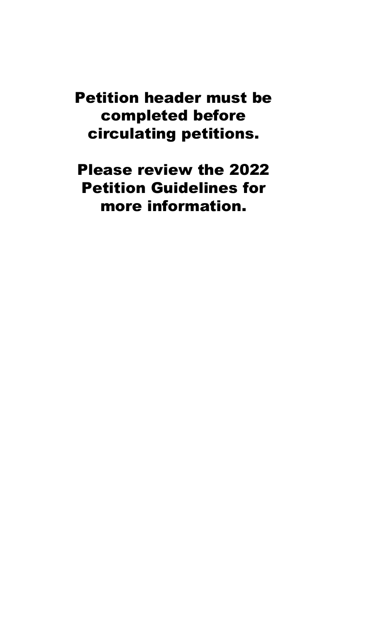Petition header must be completed before circulating petitions.

Please review the 2022 Petition Guidelines for more information.